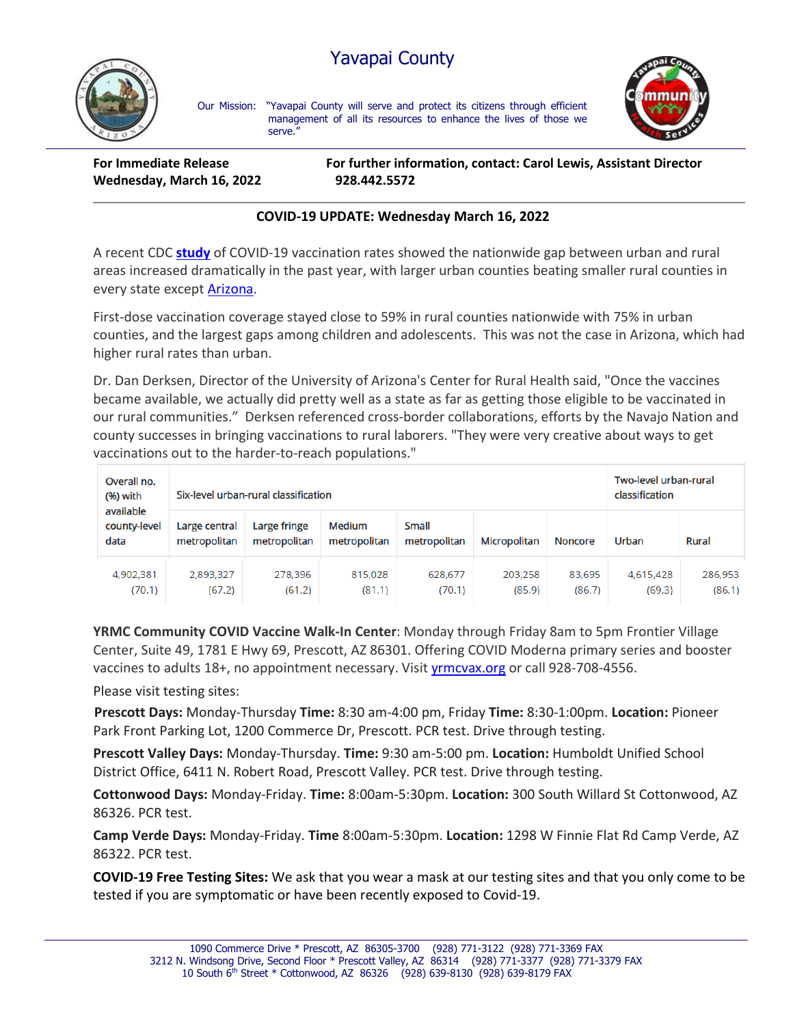## Yavapai County



Our Mission: "Yavapai County will serve and protect its citizens through efficient management of all its resources to enhance the lives of those we serve."



**Wednesday, March 16, 2022 928.442.5572**

**For Immediate Release For further information, contact: Carol Lewis, Assistant Director**

## **COVID-19 UPDATE: Wednesday March 16, 2022**

A recent CDC **[study](https://www.cdc.gov/mmwr/volumes/71/wr/mm7109a2.htm)** of COVID-19 vaccination rates showed the nationwide gap between urban and rural areas increased dramatically in the past year, with larger urban counties beating smaller rural counties in every state except [Arizona.](https://www.cdc.gov/mmwr/volumes/71/wr/mm7109a2.htm#T2_down)

First-dose vaccination coverage stayed close to 59% in rural counties nationwide with 75% in urban counties, and the largest gaps among children and adolescents. This was not the case in Arizona, which had higher rural rates than urban.

Dr. Dan Derksen, Director of the University of Arizona's Center for Rural Health said, "Once the vaccines became available, we actually did pretty well as a state as far as getting those eligible to be vaccinated in our rural communities." Derksen referenced cross-border collaborations, efforts by the Navajo Nation and county successes in bringing vaccinations to rural laborers. "They were very creative about ways to get vaccinations out to the harder-to-reach populations."

| Overall no.<br>(%) with<br>available<br>county-level<br>data | Six-level urban-rural classification |                              |                        |                              |                     |                  | Two-level urban-rural<br>classification |                   |
|--------------------------------------------------------------|--------------------------------------|------------------------------|------------------------|------------------------------|---------------------|------------------|-----------------------------------------|-------------------|
|                                                              | Large central<br>metropolitan        | Large fringe<br>metropolitan | Medium<br>metropolitan | <b>Small</b><br>metropolitan | <b>Micropolitan</b> | <b>Noncore</b>   | Urban                                   | Rural             |
| 4,902,381<br>(70.1)                                          | 2,893,327<br>(67.2)                  | 278,396<br>(61.2)            | 815,028<br>(81.1)      | 628,677<br>(70.1)            | 203,258<br>(85.9)   | 83,695<br>(86.7) | 4,615,428<br>(69.3)                     | 286,953<br>(86.1) |

**YRMC Community COVID Vaccine Walk-In Center**: Monday through Friday 8am to 5pm Frontier Village Center, Suite 49, 1781 E Hwy 69, Prescott, AZ 86301. Offering COVID Moderna primary series and booster vaccines to adults 18+, no appointment necessary. Visit [yrmcvax.org](https://linkprotect.cudasvc.com/url?a=https%3a%2f%2fyrmcvax.org&c=E,1,q40Ofnoev0yr7km1g-DAwNbLPdtUl8ma0yT-xQpGyBT4oKWbes7rmNl4wxE0mA-ExXbt46T6S4woyeMhmSYVqIPFL1DlHRtWy_Si--0k5MXUbASblwrd0zU,&typo=0) or call 928-708-4556.

Please visit testing sites:

**Prescott Days:** Monday-Thursday **Time:** 8:30 am-4:00 pm, Friday **Time:** 8:30-1:00pm. **Location:** Pioneer Park Front Parking Lot, 1200 Commerce Dr, Prescott. PCR test. Drive through testing.

**Prescott Valley Days:** Monday-Thursday. **Time:** 9:30 am-5:00 pm. **Location:** Humboldt Unified School District Office, 6411 N. Robert Road, Prescott Valley. PCR test. Drive through testing.

**Cottonwood Days:** Monday-Friday. **Time:** 8:00am-5:30pm. **Location:** 300 South Willard St Cottonwood, AZ 86326. PCR test.

**Camp Verde Days:** Monday-Friday. **Time** 8:00am-5:30pm. **Location:** 1298 W Finnie Flat Rd Camp Verde, AZ 86322. PCR test.

**COVID-19 Free Testing Sites:** We ask that you wear a mask at our testing sites and that you only come to be tested if you are symptomatic or have been recently exposed to Covid-19.